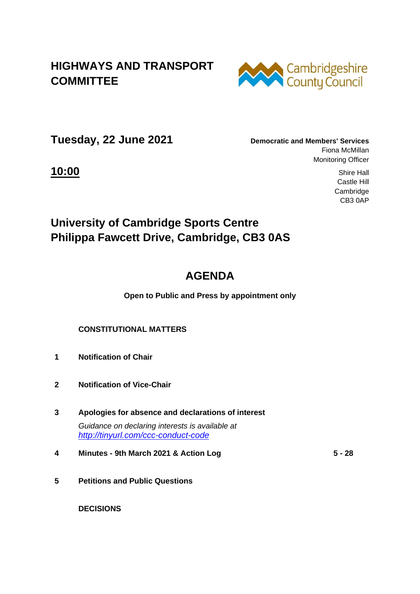### **HIGHWAYS AND TRANSPORT COMMITTEE**



**Tuesday, 22 June 2021 Democratic and Members' Services**

Fiona McMillan Monitoring Officer

**10:00** Shire Hall Castle Hill Cambridge CB3 0AP

## **University of Cambridge Sports Centre Philippa Fawcett Drive, Cambridge, CB3 0AS**

# **AGENDA**

**Open to Public and Press by appointment only**

#### **CONSTITUTIONAL MATTERS**

- **1 Notification of Chair**
- **2 Notification of Vice-Chair**
- **3 Apologies for absence and declarations of interest** *Guidance on declaring interests is available at <http://tinyurl.com/ccc-conduct-code>*
- **4 Minutes - 9th March 2021 & Action Log 5 - 28**
- **5 Petitions and Public Questions**

 **DECISIONS**